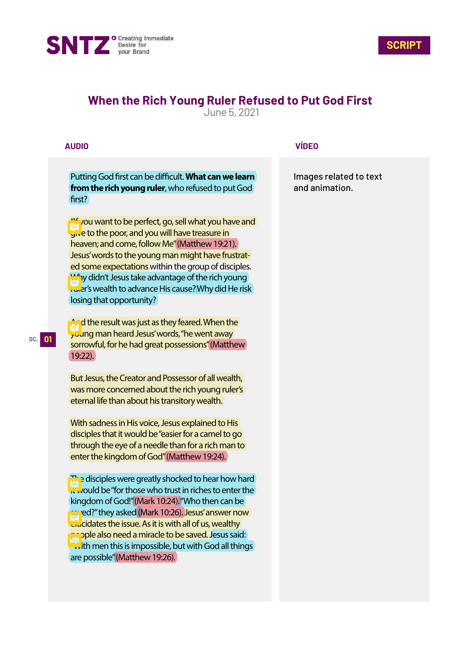



# **When the Rich Young Ruler Refused to Put God First**

June 5, 2021

## **AUDIO**

Putting God first can be difficult. What can we learn **from the rich young ruler**, who refused to put God first?

"If you want to be perfect, go, sell what you have and give to the poor, and you will have treasure in heaven; and come, follow Me" (Matthew 19:21). Jesus' words to the young man might have frustrated some expectations within the group of disciples. Why didn't Jesus take advantage of the rich young ruler's wealth to advance His cause? Why did He risk losing that opportunity?

**And the result was just as they feared. When the** young man heard Jesus' words, "he went away sorrowful, for he had great possessions" (Matthew 19:22).

But Jesus, the Creator and Possessor of all wealth, was more concerned about the rich young ruler's eternal life than about his transitory wealth.

With sadness in His voice, Jesus explained to His disciples that it would be "easier for a camel to go through the eye of a needle than for a rich man to enter the kingdom of God" (Matthew 19:24).

The disciples were greatly shocked to hear how hard  $\frac{1}{2}$  vould be "for those who trust in riches to enter the kingdom of God!" (Mark 10:24). "Who then can be **pay** red?" they asked (Mark 10:26). Jesus' answer now elucidates the issue. As it is with all of us, wealthy people also need a miracle to be saved. Jesus said: **With men this is impossible, but with God all things** are possible" (Matthew 19:26).

### **VÍDEO**

Images related to text and animation.